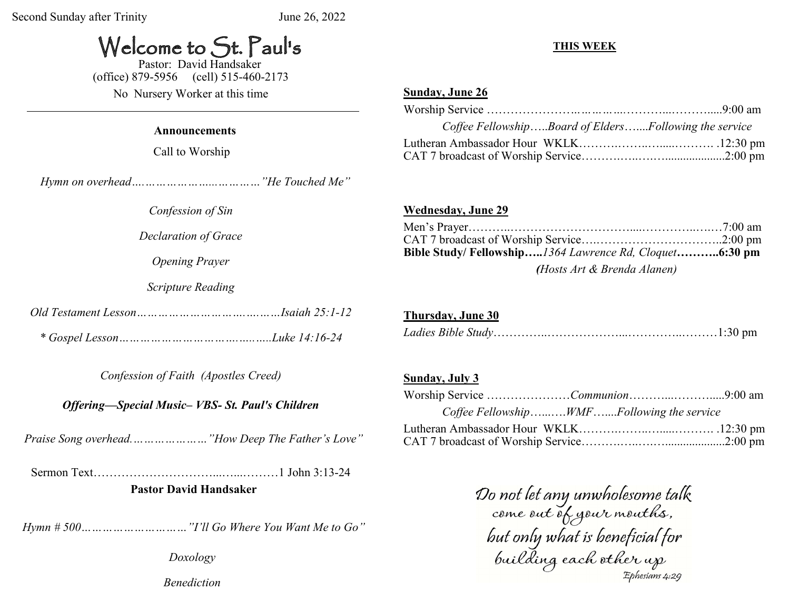# Welcome to St. Paul's

 Pastor: David Handsaker (office) 879-5956 (cell) 515-460-2173

No Nursery Worker at this time

#### **Announcements**

Call to Worship

 *Hymn on overhead….………………...…………"He Touched Me"*

*Confession of Sin*

*Declaration of Grace*

*Opening Prayer*

*Scripture Reading*

*Old Testament Lesson………………………….….……Isaiah 25:1-12*

*\* Gospel Lesson…………………………….…..…..Luke 14:16-24*

*Confession of Faith (Apostles Creed)* 

*Offering—Special Music– VBS- St. Paul's Children*

 *Praise Song overhead.…………………"How Deep The Father's Love"*

Sermon Text…………………………...…...………1 John 3:13-24  **Pastor David Handsaker**

 *Hymn # 500…………………………"I'll Go Where You Want Me to Go"*

*Doxology Benediction*

### **THIS WEEK**

### **Sunday, June 26**

| Coffee FellowshipBoard of EldersFollowing the service |  |
|-------------------------------------------------------|--|
|                                                       |  |
|                                                       |  |

#### **Wednesday, June 29**

| Bible Study/Fellowship1364 Lawrence Rd, Cloquet6:30 pm |  |
|--------------------------------------------------------|--|
| (Hosts Art & Brenda Alanen)                            |  |

# **Thursday, June 30**

|--|--|

#### **Sunday, July 3**

|  | Coffee FellowshipWMFFollowing the service |  |
|--|-------------------------------------------|--|
|  |                                           |  |
|  |                                           |  |

Do not let any unwholesome talk<br>come out of your mouths,<br>but only what is beneficial for<br>building each other up